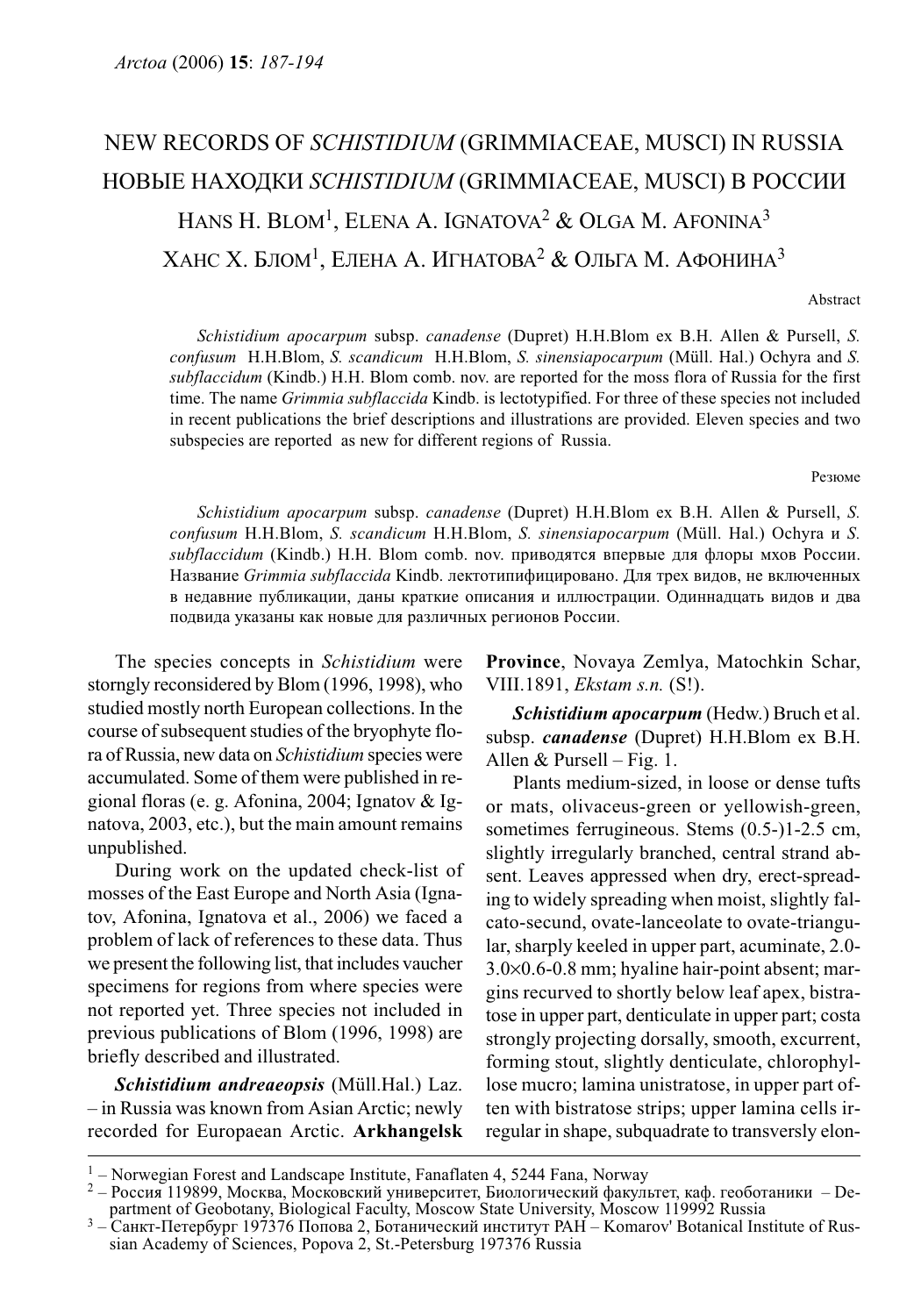## NEW RECORDS OF SCHISTIDIUM (GRIMMIACEAE, MUSCI) IN RUSSIA НОВЫЕ НАХОДКИ SCHISTIDIUM (GRIMMIACEAE, MUSCI) В РОССИИ HANS H. BLOM<sup>1</sup>, ELENA A. IGNATOVA<sup>2</sup> & OLGA M. AFONINA<sup>3</sup> ХАНС Х. БЛОМ<sup>1</sup>, ЕЛЕНА А. ИГНАТОВА<sup>2</sup> & ОЛЬГА М. АФОНИНА<sup>3</sup>

Abstract

Schistidium apocarpum subsp. canadense (Dupret) H.H.Blom ex B.H. Allen & Pursell, S. confusum H.H.Blom, S. scandicum H.H.Blom, S. sinensiapocarpum (Müll. Hal.) Ochyra and S. subflaccidum (Kindb.) H.H. Blom comb. nov. are reported for the moss flora of Russia for the first time. The name *Grimmia subflaccida* Kindb. is lectotypified. For three of these species not included in recent publications the brief descriptions and illustrations are provided. Eleven species and two subspecies are reported as new for different regions of Russia.

Резюме

Schistidium apocarpum subsp. canadense (Dupret) H.H.Blom ex B.H. Allen & Pursell, S. confusum H.H.Blom, S. scandicum H.H.Blom, S. sinensiapocarpum (Müll. Hal.) Ochyra и S. subflaccidum (Kindb.) H.H. Blom comb. nov. приводятся впервые для флоры мхов России. Название Grimmia subflaccida Kindb. лектотипифицировано. Для трех видов, не включенных в недавние публикации, даны краткие описания и иллюстрации. Одиннадцать видов и два подвида указаны как новые для различных регионов России.

The species concepts in Schistidium were storngly reconsidered by Blom (1996, 1998), who studied mostly north European collections. In the course of subsequent studies of the bryophyte flora of Russia, new data on Schistidium species were accumulated. Some of them were published in regional floras (e. g. Afonina, 2004; Ignatov & Ignatova, 2003, etc.), but the main amount remains unpublished.

During work on the updated check-list of mosses of the East Europe and North Asia (Ignatov, Afonina, Ignatova et al., 2006) we faced a problem of lack of references to these data. Thus we present the following list, that includes vaucher specimens for regions from where species were not reported yet. Three species not included in previous publications of Blom (1996, 1998) are briefly described and illustrated.

Schistidium andreaeopsis (Müll.Hal.) Laz. – in Russia was known from Asian Arctic; newly recorded for Europaean Arctic. Arkhangelsk Province, Novaya Zemlya, Matochkin Schar, VIII.1891, Ekstam s.n. (S!).

Schistidium apocarpum (Hedw.) Bruch et al. subsp. canadense (Dupret) H.H.Blom ex B.H. Allen & Pursell – Fig. 1.

Plants medium-sized, in loose or dense tufts or mats, olivaceus-green or yellowish-green, sometimes ferrugineous. Stems (0.5-)1-2.5 cm, slightly irregularly branched, central strand absent. Leaves appressed when dry, erect-spreading to widely spreading when moist, slightly falcato-secund, ovate-lanceolate to ovate-triangular, sharply keeled in upper part, acuminate, 2.0- 3.0×0.6-0.8 mm; hyaline hair-point absent; margins recurved to shortly below leaf apex, bistratose in upper part, denticulate in upper part; costa strongly projecting dorsally, smooth, excurrent, forming stout, slightly denticulate, chlorophyllose mucro; lamina unistratose, in upper part often with bistratose strips; upper lamina cells irregular in shape, subquadrate to transversly elon-

 $1 -$  Norwegian Forest and Landscape Institute, Fanaflaten 4, 5244 Fana, Norway

<sup>&</sup>lt;sup>2</sup> – Россия 119899, Москва, Московский университет, Биологический факультет, каф. геоботаники – Department of Geobotany, Biological Faculty, Moscow State University, Moscow 119992 Russia

<sup>&</sup>lt;sup>3</sup> – Санкт-Петербург 197376 Попова 2, Ботанический институт РАН – Komarov' Botanical Institute of Russian Academy of Sciences, Popova 2, St.-Petersburg 197376 Russia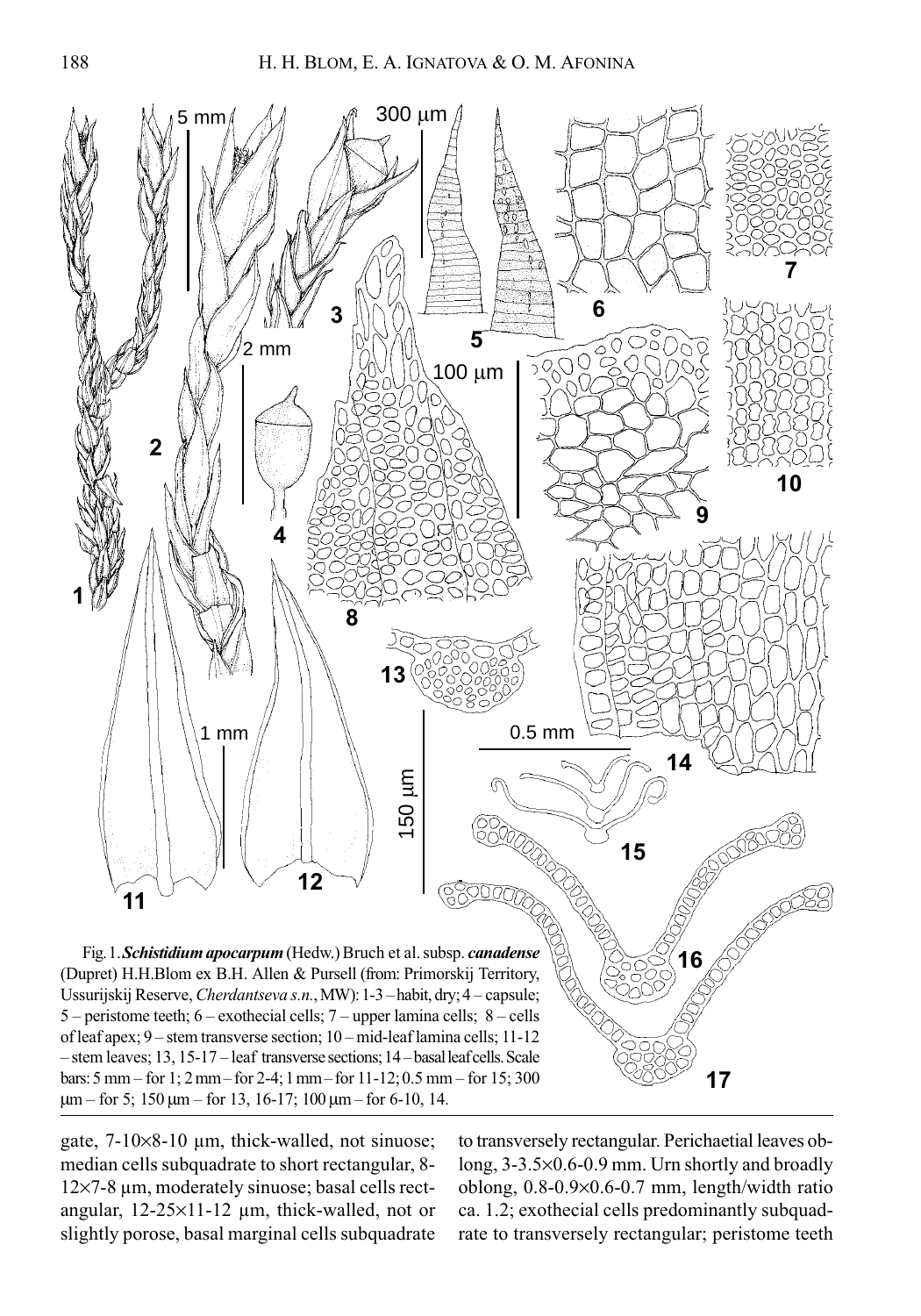

 $\mu$ m – for 5; 150  $\mu$ m – for 13, 16-17; 100  $\mu$ m – for 6-10, 14.

gate, 7-10×8-10 μm, thick-walled, not sinuose; median cells subquadrate to short rectangular, 8- 12×7-8 μm, moderately sinuose; basal cells rectangular, 12-25×11-12 μm, thick-walled, not or slightly porose, basal marginal cells subquadrate to transversely rectangular. Perichaetial leaves oblong, 3-3.5×0.6-0.9 mm. Urn shortly and broadly oblong, 0.8-0.9×0.6-0.7 mm, length/width ratio ca. 1.2; exothecial cells predominantly subquadrate to transversely rectangular; peristome teeth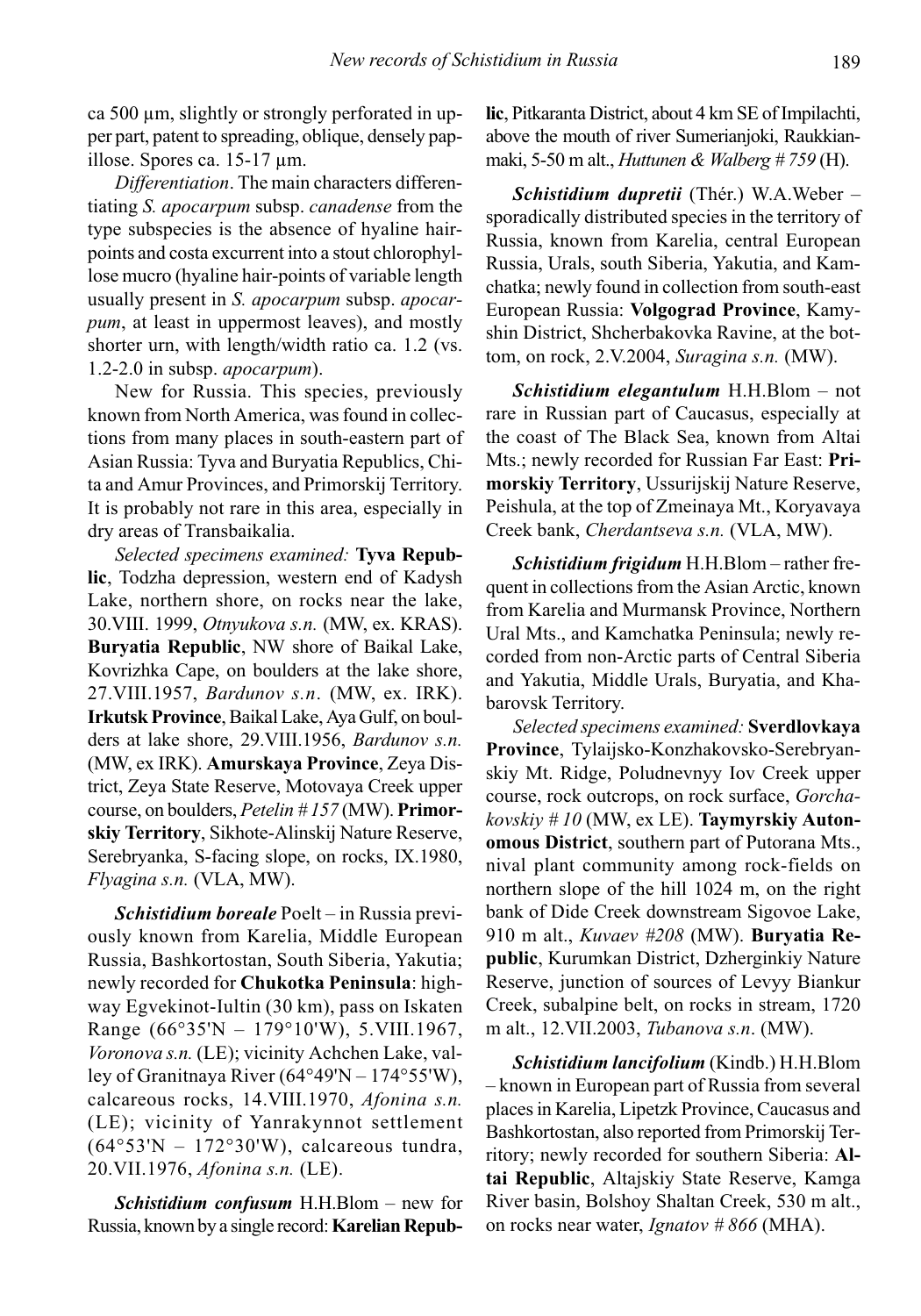ca 500 μm, slightly or strongly perforated in upper part, patent to spreading, oblique, densely papillose. Spores ca. 15-17 μm.

Differentiation. The main characters differentiating S. apocarpum subsp. canadense from the type subspecies is the absence of hyaline hairpoints and costa excurrent into a stout chlorophyllose mucro (hyaline hair-points of variable length usually present in S. apocarpum subsp. apocarpum, at least in uppermost leaves), and mostly shorter urn, with length/width ratio ca. 1.2 (vs. 1.2-2.0 in subsp. apocarpum).

New for Russia. This species, previously known from North America, was found in collections from many places in south-eastern part of Asian Russia: Tyva and Buryatia Republics, Chita and Amur Provinces, and Primorskij Territory. It is probably not rare in this area, especially in dry areas of Transbaikalia.

Selected specimens examined: Tyva Republic, Todzha depression, western end of Kadysh Lake, northern shore, on rocks near the lake, 30.VIII. 1999, Otnyukova s.n. (MW, ex. KRAS). Buryatia Republic, NW shore of Baikal Lake, Kovrizhka Cape, on boulders at the lake shore, 27.VIII.1957, Bardunov s.n. (MW, ex. IRK). Irkutsk Province, Baikal Lake, Aya Gulf, on boulders at lake shore, 29.VIII.1956, Bardunov s.n. (MW, ex IRK). Amurskaya Province, Zeya District, Zeya State Reserve, Motovaya Creek upper course, on boulders, Petelin # 157 (MW). Primorskiy Territory, Sikhote-Alinskij Nature Reserve, Serebryanka, S-facing slope, on rocks, IX.1980, Flyagina s.n. (VLA, MW).

Schistidium boreale Poelt – in Russia previously known from Karelia, Middle European Russia, Bashkortostan, South Siberia, Yakutia; newly recorded for Chukotka Peninsula: highway Egvekinot-Iultin (30 km), pass on Iskaten Range (66°35'N – 179°10'W), 5.VIII.1967, Voronova s.n. (LE); vicinity Achchen Lake, valley of Granitnaya River (64°49'N – 174°55'W), calcareous rocks, 14.VIII.1970, Afonina s.n. (LE); vicinity of Yanrakynnot settlement  $(64°53'N - 172°30'W)$ , calcareous tundra, 20.VII.1976, Afonina s.n. (LE).

Schistidium confusum H.H.Blom – new for Russia, known by a single record: Karelian Republic, Pitkaranta District, about 4 km SE of Impilachti, above the mouth of river Sumerianjoki, Raukkianmaki, 5-50 m alt., *Huttunen & Walberg #* 759 (H).

Schistidium dupretii (Thér.) W.A.Weber – sporadically distributed species in the territory of Russia, known from Karelia, central European Russia, Urals, south Siberia, Yakutia, and Kamchatka; newly found in collection from south-east European Russia: Volgograd Province, Kamyshin District, Shcherbakovka Ravine, at the bottom, on rock, 2.V.2004, Suragina s.n. (MW).

Schistidium elegantulum H.H.Blom – not rare in Russian part of Caucasus, especially at the coast of The Black Sea, known from Altai Mts.; newly recorded for Russian Far East: Primorskiy Territory, Ussurijskij Nature Reserve, Peishula, at the top of Zmeinaya Mt., Koryavaya Creek bank, Cherdantseva s.n. (VLA, MW).

Schistidium frigidum H.H.Blom – rather frequent in collections from the Asian Arctic, known from Karelia and Murmansk Province, Northern Ural Mts., and Kamchatka Peninsula; newly recorded from non-Arctic parts of Central Siberia and Yakutia, Middle Urals, Buryatia, and Khabarovsk Territory.

Selected specimens examined: Sverdlovkaya Province, Tylaijsko-Konzhakovsko-Serebryanskiy Mt. Ridge, Poludnevnyy Iov Creek upper course, rock outcrops, on rock surface, Gorchakovskiy # 10 (MW, ex LE). Taymyrskiy Autonomous District, southern part of Putorana Mts., nival plant community among rock-fields on northern slope of the hill 1024 m, on the right bank of Dide Creek downstream Sigovoe Lake, 910 m alt., Kuvaev #208 (MW). Buryatia Republic, Kurumkan District, Dzherginkiy Nature Reserve, junction of sources of Levyy Biankur Creek, subalpine belt, on rocks in stream, 1720 m alt., 12.VII.2003, Tubanova s.n. (MW).

Schistidium lancifolium (Kindb.) H.H.Blom – known in European part of Russia from several places in Karelia, Lipetzk Province, Caucasus and Bashkortostan, also reported from Primorskij Territory; newly recorded for southern Siberia: Altai Republic, Altajskiy State Reserve, Kamga River basin, Bolshoy Shaltan Creek, 530 m alt., on rocks near water, Ignatov # 866 (MHA).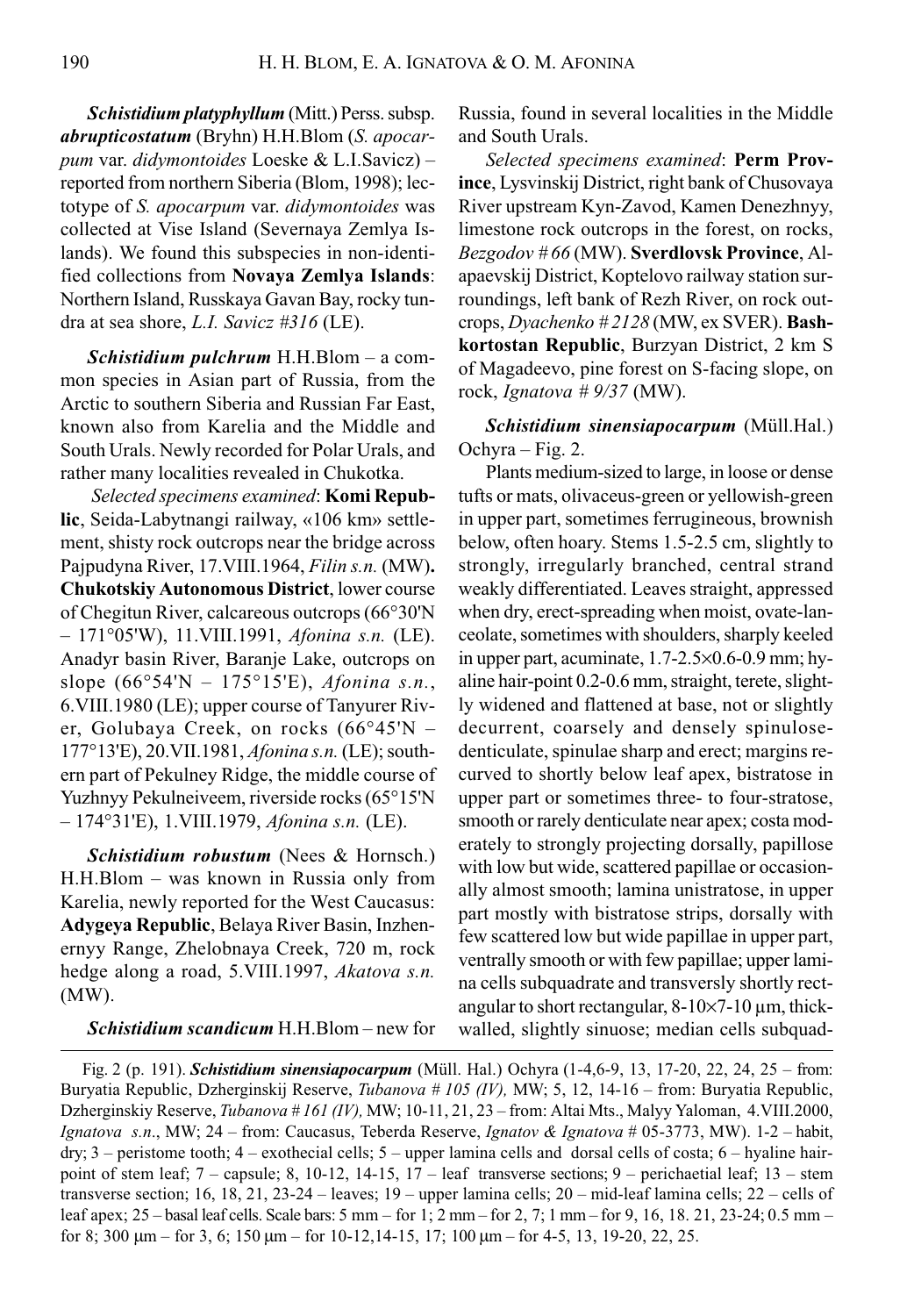Schistidium platyphyllum (Mitt.) Perss. subsp. abrupticostatum (Bryhn) H.H.Blom (S. apocarpum var. didymontoides Loeske & L.I.Savicz) – reported from northern Siberia (Blom, 1998); lectotype of S. apocarpum var. didymontoides was collected at Vise Island (Severnaya Zemlya Islands). We found this subspecies in non-identified collections from Novaya Zemlya Islands: Northern Island, Russkaya Gavan Bay, rocky tundra at sea shore, L.I. Savicz #316 (LE).

Schistidium pulchrum H.H.Blom – a common species in Asian part of Russia, from the Arctic to southern Siberia and Russian Far East, known also from Karelia and the Middle and South Urals. Newly recorded for Polar Urals, and rather many localities revealed in Chukotka.

Selected specimens examined: Komi Republic, Seida-Labytnangi railway, «106 km» settlement, shisty rock outcrops near the bridge across Pajpudyna River, 17. VIII. 1964, Filin s.n. (MW). Chukotskiy Autonomous District, lower course of Chegitun River, calcareous outcrops (66°30'N – 171°05'W), 11.VIII.1991, Afonina s.n. (LE). Anadyr basin River, Baranje Lake, outcrops on slope (66°54'N – 175°15'E), Afonina s.n., 6.VIII.1980 (LE); upper course of Tanyurer River, Golubaya Creek, on rocks (66°45'N – 177°13'E), 20.VII.1981, Afonina s.n. (LE); southern part of Pekulney Ridge, the middle course of Yuzhnyy Pekulneiveem, riverside rocks (65°15'N – 174°31'E), 1.VIII.1979, Afonina s.n. (LE).

Schistidium robustum (Nees & Hornsch.) H.H.Blom – was known in Russia only from Karelia, newly reported for the West Caucasus: Adygeya Republic, Belaya River Basin, Inzhenernyy Range, Zhelobnaya Creek, 720 m, rock hedge along a road, 5.VIII.1997, Akatova s.n. (MW).

Schistidium scandicum H.H.Blom – new for

Russia, found in several localities in the Middle and South Urals.

Selected specimens examined: Perm Province, Lysvinskij District, right bank of Chusovaya River upstream Kyn-Zavod, Kamen Denezhnyy, limestone rock outcrops in the forest, on rocks, Bezgodov #66 (MW). Sverdlovsk Province, Alapaevskij District, Koptelovo railway station surroundings, left bank of Rezh River, on rock outcrops, Dyachenko # 2128 (MW, ex SVER). Bashkortostan Republic, Burzyan District, 2 km S of Magadeevo, pine forest on S-facing slope, on rock, Ignatova #  $9/37$  (MW).

Schistidium sinensiapocarpum (Müll.Hal.) Ochyra – Fig. 2.

Plants medium-sized to large, in loose or dense tufts or mats, olivaceus-green or yellowish-green in upper part, sometimes ferrugineous, brownish below, often hoary. Stems 1.5-2.5 cm, slightly to strongly, irregularly branched, central strand weakly differentiated. Leaves straight, appressed when dry, erect-spreading when moist, ovate-lanceolate, sometimes with shoulders, sharply keeled in upper part, acuminate, 1.7-2.5×0.6-0.9 mm; hyaline hair-point 0.2-0.6 mm, straight, terete, slightly widened and flattened at base, not or slightly decurrent, coarsely and densely spinulosedenticulate, spinulae sharp and erect; margins recurved to shortly below leaf apex, bistratose in upper part or sometimes three- to four-stratose, smooth or rarely denticulate near apex; costa moderately to strongly projecting dorsally, papillose with low but wide, scattered papillae or occasionally almost smooth; lamina unistratose, in upper part mostly with bistratose strips, dorsally with few scattered low but wide papillae in upper part, ventrally smooth or with few papillae; upper lamina cells subquadrate and transversly shortly rectangular to short rectangular, 8-10×7-10 μm, thickwalled, slightly sinuose; median cells subquad-

Fig. 2 (p. 191). Schistidium sinensiapocarpum (Müll. Hal.) Ochyra (1-4,6-9, 13, 17-20, 22, 24, 25 – from: Buryatia Republic, Dzherginskij Reserve, Tubanova # 105 (IV), MW; 5, 12, 14-16 – from: Buryatia Republic, Dzherginskiy Reserve, Tubanova # 161 (IV), MW; 10-11, 21, 23 – from: Altai Mts., Malyy Yaloman, 4.VIII.2000, Ignatova s.n., MW; 24 – from: Caucasus, Teberda Reserve, Ignatov & Ignatova # 05-3773, MW). 1-2 – habit, dry; 3 – peristome tooth; 4 – exothecial cells; 5 – upper lamina cells and dorsal cells of costa; 6 – hyaline hairpoint of stem leaf; 7 – capsule; 8, 10-12, 14-15, 17 – leaf transverse sections; 9 – perichaetial leaf; 13 – stem transverse section; 16, 18, 21, 23-24 – leaves; 19 – upper lamina cells; 20 – mid-leaf lamina cells; 22 – cells of leaf apex; 25 – basal leaf cells. Scale bars: 5 mm – for 1; 2 mm – for 2, 7; 1 mm – for 9, 16, 18. 21, 23-24; 0.5 mm – for 8; 300 μm – for 3, 6; 150 μm – for 10-12,14-15, 17; 100 μm – for 4-5, 13, 19-20, 22, 25.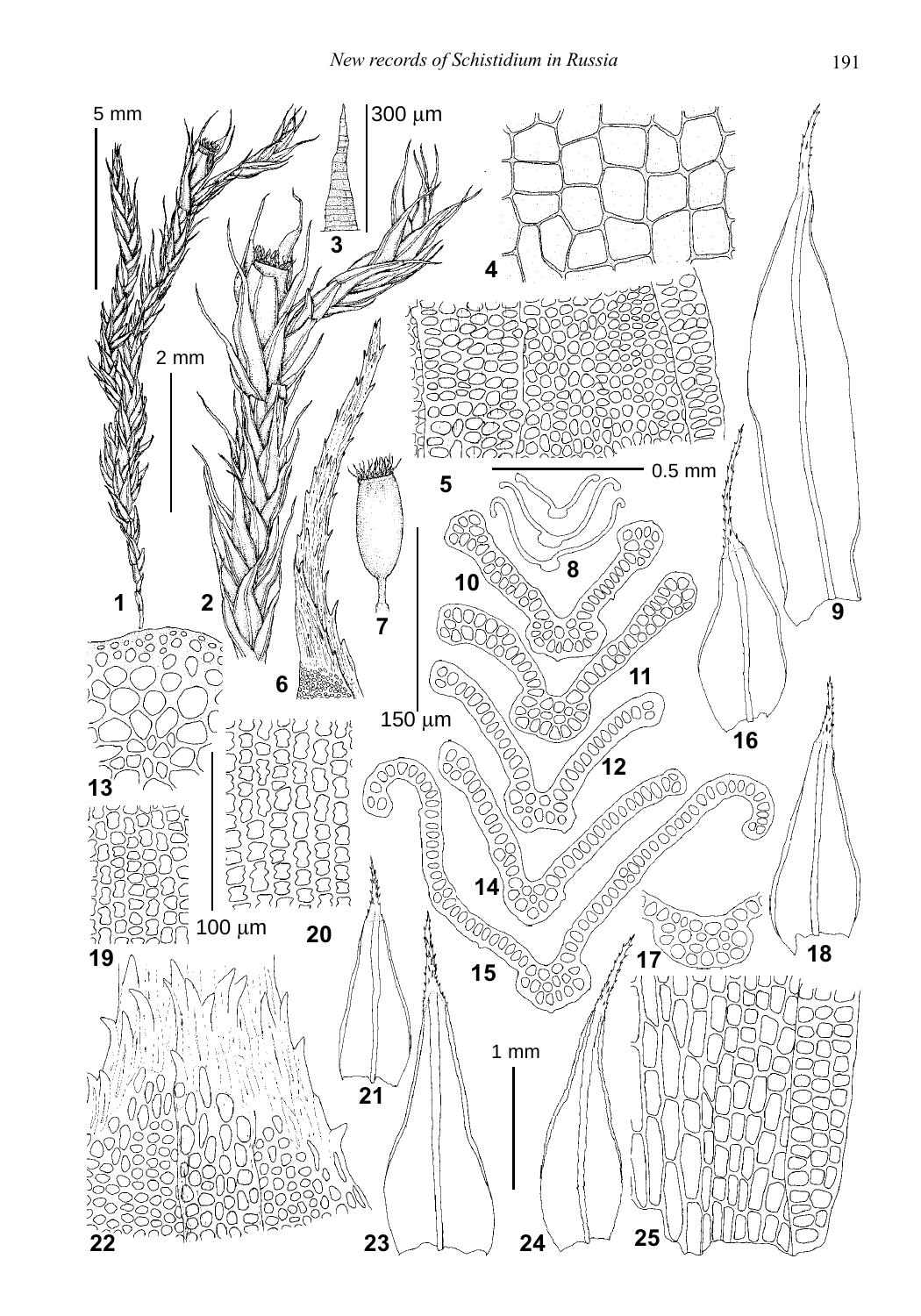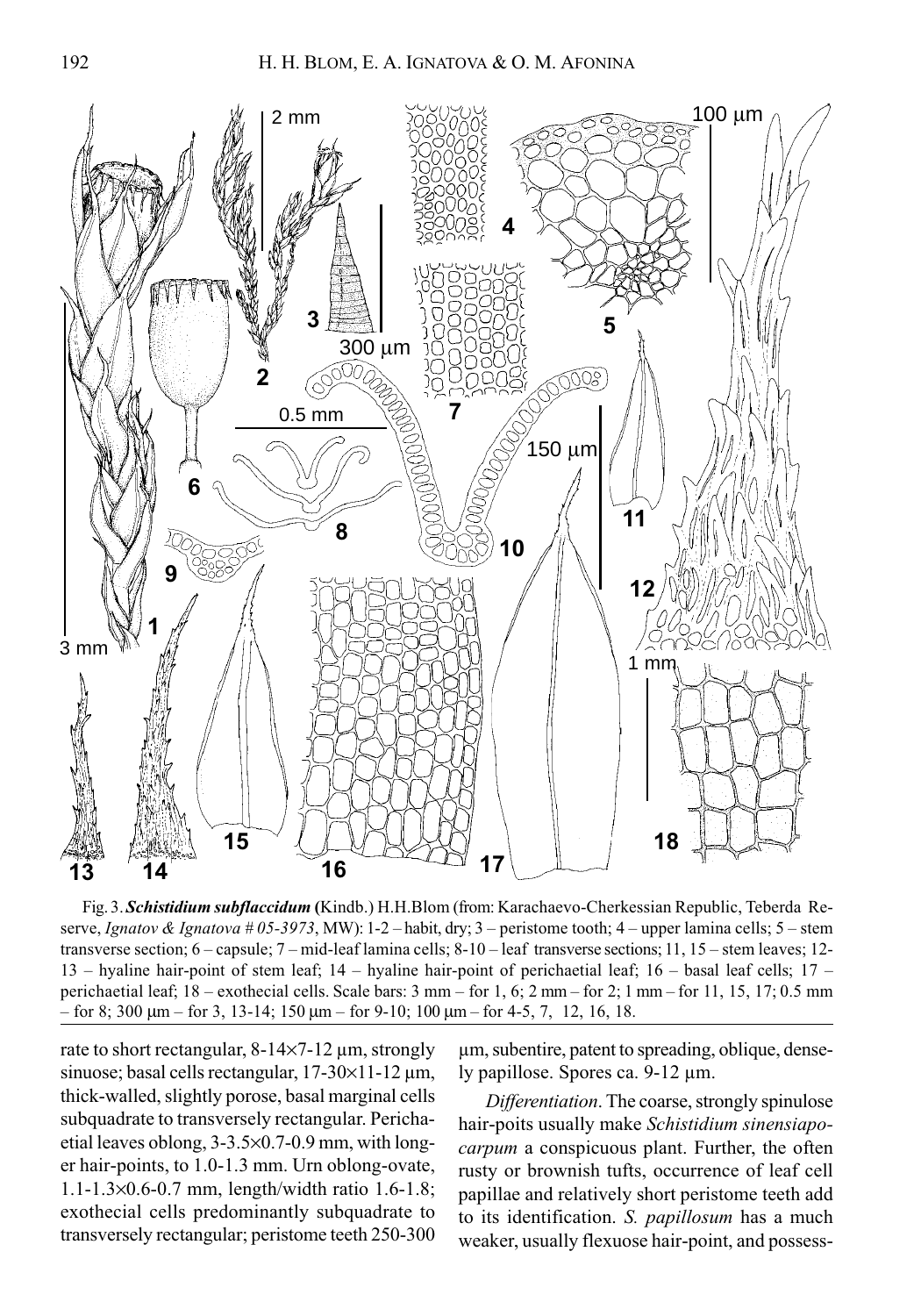

Fig. 3. Schistidium subflaccidum (Kindb.) H.H.Blom (from: Karachaevo-Cherkessian Republic, Teberda Reserve, Ignatov & Ignatova #05-3973, MW): 1-2 – habit, dry;  $3$  – peristome tooth;  $4$  – upper lamina cells;  $5$  – stem transverse section; 6 – capsule; 7 – mid-leaf lamina cells; 8-10 – leaf transverse sections; 11, 15 – stem leaves; 12- 13 – hyaline hair-point of stem leaf; 14 – hyaline hair-point of perichaetial leaf; 16 – basal leaf cells; 17 – perichaetial leaf; 18 – exothecial cells. Scale bars: 3 mm – for 1, 6; 2 mm – for 2; 1 mm – for 11, 15, 17; 0.5 mm – for 8; 300 μm – for 3, 13-14; 150 μm – for 9-10; 100 μm – for 4-5, 7, 12, 16, 18.

rate to short rectangular, 8-14×7-12 μm, strongly sinuose; basal cells rectangular, 17-30×11-12 μm, thick-walled, slightly porose, basal marginal cells subquadrate to transversely rectangular. Perichaetial leaves oblong, 3-3.5×0.7-0.9 mm, with longer hair-points, to 1.0-1.3 mm. Urn oblong-ovate, 1.1-1.3×0.6-0.7 mm, length/width ratio 1.6-1.8; exothecial cells predominantly subquadrate to transversely rectangular; peristome teeth 250-300

μm, subentire, patent to spreading, oblique, densely papillose. Spores ca. 9-12 μm.

Differentiation. The coarse, strongly spinulose hair-poits usually make Schistidium sinensiapocarpum a conspicuous plant. Further, the often rusty or brownish tufts, occurrence of leaf cell papillae and relatively short peristome teeth add to its identification. S. papillosum has a much weaker, usually flexuose hair-point, and possess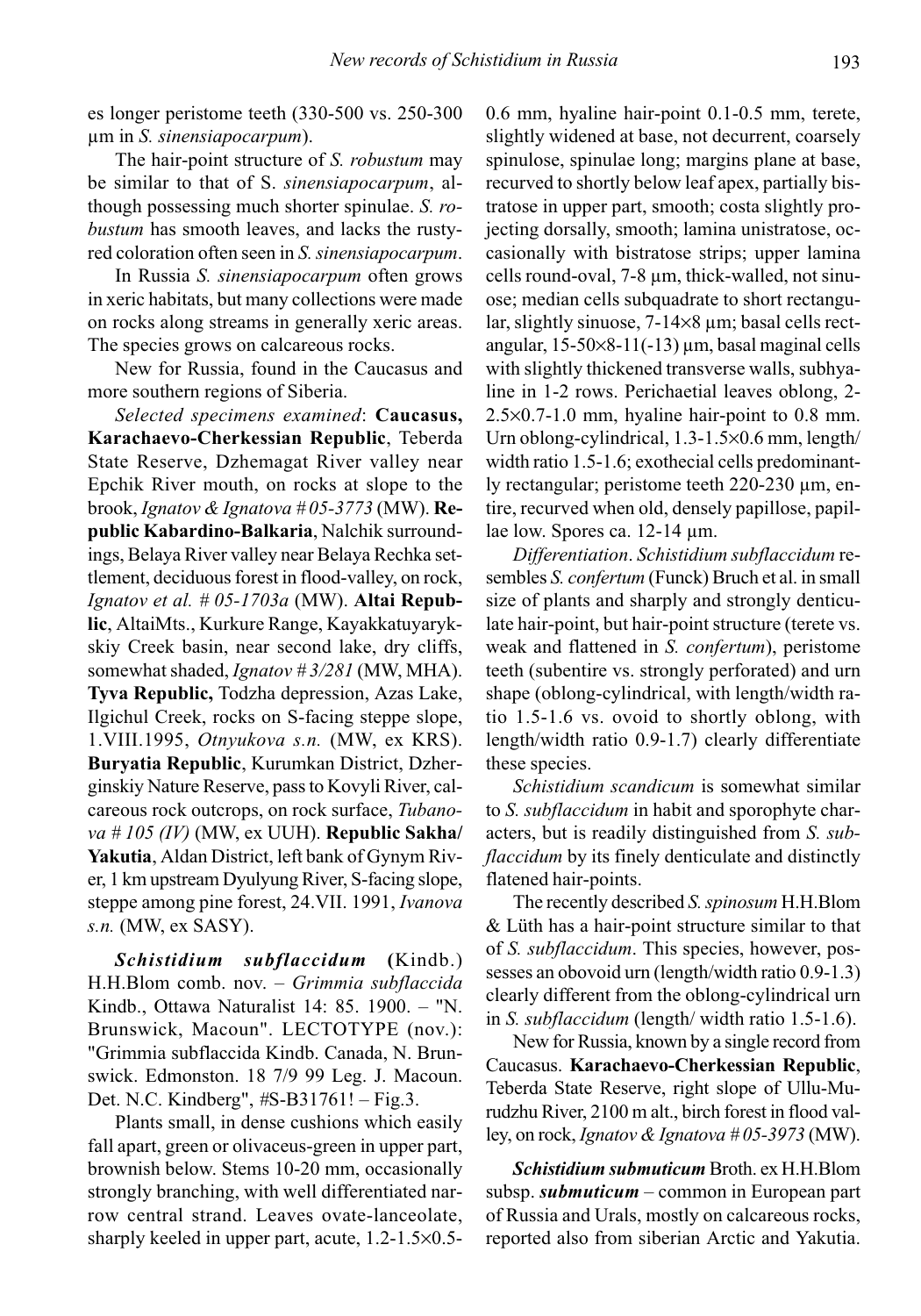es longer peristome teeth (330-500 vs. 250-300 μm in S. sinensiapocarpum).

The hair-point structure of *S. robustum* may be similar to that of S. sinensiapocarpum, although possessing much shorter spinulae. S. robustum has smooth leaves, and lacks the rustyred coloration often seen in S. sinensiapocarpum.

In Russia S. sinensiapocarpum often grows in xeric habitats, but many collections were made on rocks along streams in generally xeric areas. The species grows on calcareous rocks.

New for Russia, found in the Caucasus and more southern regions of Siberia.

Selected specimens examined: Caucasus, Karachaevo-Cherkessian Republic, Teberda State Reserve, Dzhemagat River valley near Epchik River mouth, on rocks at slope to the brook, Ignatov & Ignatova #05-3773 (MW). Republic Kabardino-Balkaria, Nalchik surroundings, Belaya River valley near Belaya Rechka settlement, deciduous forest in flood-valley, on rock, Ignatov et al.  $# 05-1703a$  (MW). Altai Republic, AltaiMts., Kurkure Range, Kayakkatuyarykskiy Creek basin, near second lake, dry cliffs, somewhat shaded, Ignatov #3/281 (MW, MHA). Tyva Republic, Todzha depression, Azas Lake, Ilgichul Creek, rocks on S-facing steppe slope, 1.VIII.1995, Otnyukova s.n. (MW, ex KRS). Buryatia Republic, Kurumkan District, Dzherginskiy Nature Reserve, pass to Kovyli River, calcareous rock outcrops, on rock surface, Tubano $va # 105 (IV)$  (MW, ex UUH). Republic Sakha/ Yakutia, Aldan District, left bank of Gynym River, 1 km upstream Dyulyung River, S-facing slope, steppe among pine forest, 24.VII. 1991, Ivanova s.n. (MW, ex SASY).

Schistidium subflaccidum (Kindb.) H.H.Blom comb. nov. – Grimmia subflaccida Kindb., Ottawa Naturalist 14: 85. 1900. – "N. Brunswick, Macoun". LECTOTYPE (nov.): "Grimmia subflaccida Kindb. Canada, N. Brunswick. Edmonston. 18 7/9 99 Leg. J. Macoun. Det. N.C. Kindberg", #S-B31761! – Fig.3.

Plants small, in dense cushions which easily fall apart, green or olivaceus-green in upper part, brownish below. Stems 10-20 mm, occasionally strongly branching, with well differentiated narrow central strand. Leaves ovate-lanceolate, sharply keeled in upper part, acute, 1.2-1.5×0.50.6 mm, hyaline hair-point 0.1-0.5 mm, terete, slightly widened at base, not decurrent, coarsely spinulose, spinulae long; margins plane at base, recurved to shortly below leaf apex, partially bistratose in upper part, smooth; costa slightly projecting dorsally, smooth; lamina unistratose, occasionally with bistratose strips; upper lamina cells round-oval, 7-8 μm, thick-walled, not sinuose; median cells subquadrate to short rectangular, slightly sinuose, 7-14×8 μm; basal cells rectangular, 15-50×8-11(-13) μm, basal maginal cells with slightly thickened transverse walls, subhyaline in 1-2 rows. Perichaetial leaves oblong, 2- 2.5×0.7-1.0 mm, hyaline hair-point to 0.8 mm. Urn oblong-cylindrical, 1.3-1.5×0.6 mm, length/ width ratio 1.5-1.6; exothecial cells predominantly rectangular; peristome teeth 220-230 μm, entire, recurved when old, densely papillose, papillae low. Spores ca. 12-14 μm.

Differentiation. Schistidium subflaccidum resembles S. confertum (Funck) Bruch et al. in small size of plants and sharply and strongly denticulate hair-point, but hair-point structure (terete vs. weak and flattened in S. confertum), peristome teeth (subentire vs. strongly perforated) and urn shape (oblong-cylindrical, with length/width ratio 1.5-1.6 vs. ovoid to shortly oblong, with length/width ratio 0.9-1.7) clearly differentiate these species.

Schistidium scandicum is somewhat similar to S. subflaccidum in habit and sporophyte characters, but is readily distinguished from S. subflaccidum by its finely denticulate and distinctly flatened hair-points.

The recently described S. spinosum H.H.Blom & Lüth has a hair-point structure similar to that of S. subflaccidum. This species, however, possesses an obovoid urn (length/width ratio 0.9-1.3) clearly different from the oblong-cylindrical urn in S. subflaccidum (length/ width ratio 1.5-1.6).

New for Russia, known by a single record from Caucasus. Karachaevo-Cherkessian Republic, Teberda State Reserve, right slope of Ullu-Murudzhu River, 2100 m alt., birch forest in flood valley, on rock, *Ignatov & Ignatova* #05-3973 (MW).

Schistidium submuticum Broth. ex H.H.Blom subsp. submuticum – common in European part of Russia and Urals, mostly on calcareous rocks, reported also from siberian Arctic and Yakutia.